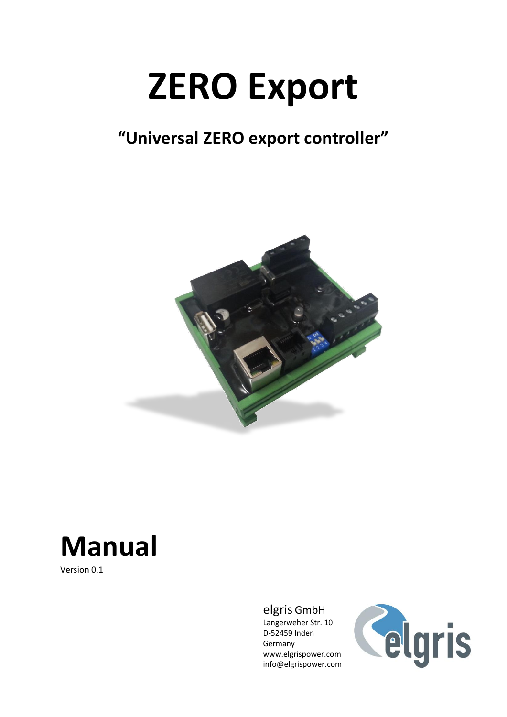# **ZERO Export**

## **"Universal ZERO export controller"**



# **Manual**

Version 0.1

#### elgris GmbH

Langerweher Str. 10 D-52459 Inden Germany www.elgrispower.com info@elgrispower.com

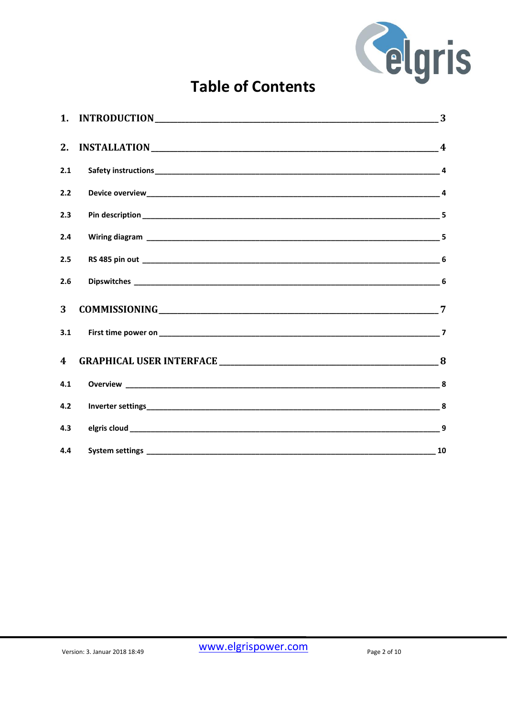

### **Table of Contents**

| 2.                      |                   |  |
|-------------------------|-------------------|--|
| 2.1                     |                   |  |
| 2.2                     |                   |  |
| 2.3                     |                   |  |
| 2.4                     |                   |  |
| 2.5                     |                   |  |
| 2.6                     |                   |  |
| 3                       |                   |  |
| 3.1                     |                   |  |
| $\overline{\mathbf{4}}$ |                   |  |
| 4.1                     | <b>Overview</b> 8 |  |
| 4.2                     |                   |  |
| 4.3                     |                   |  |
| 4.4                     |                   |  |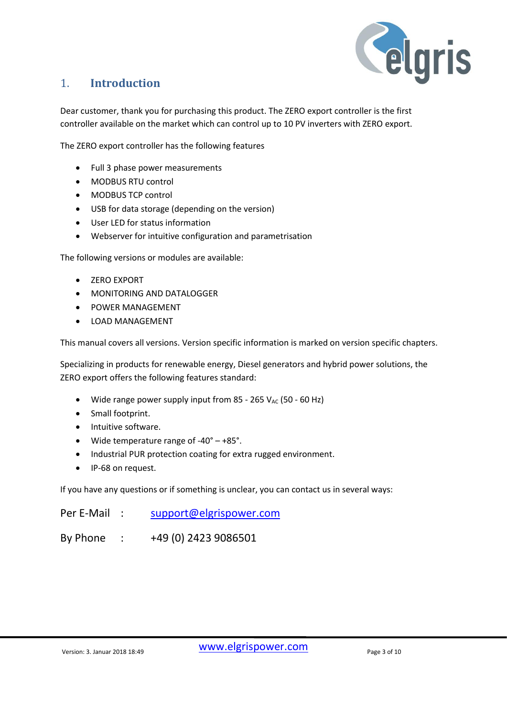

#### <span id="page-2-0"></span>1. **Introduction**

Dear customer, thank you for purchasing this product. The ZERO export controller is the first controller available on the market which can control up to 10 PV inverters with ZERO export.

The ZERO export controller has the following features

- Full 3 phase power measurements
- MODBUS RTU control
- MODBUS TCP control
- USB for data storage (depending on the version)
- User LED for status information
- Webserver for intuitive configuration and parametrisation

The following versions or modules are available:

- ZERO EXPORT
- MONITORING AND DATALOGGER
- POWER MANAGEMENT
- LOAD MANAGEMENT

This manual covers all versions. Version specific information is marked on version specific chapters.

Specializing in products for renewable energy, Diesel generators and hybrid power solutions, the ZERO export offers the following features standard:

- Wide range power supply input from 85 265  $V_{AC}$  (50 60 Hz)
- Small footprint.
- Intuitive software.
- Wide temperature range of -40° +85°.
- Industrial PUR protection coating for extra rugged environment.
- IP-68 on request.

If you have any questions or if something is unclear, you can contact us in several ways:

| Per E-Mail | support@elgrispower.com |
|------------|-------------------------|
| By Phone   | +49 (0) 2423 9086501    |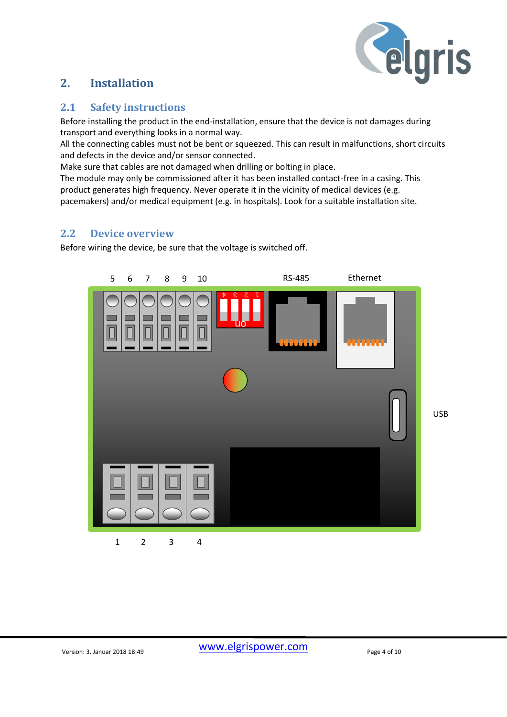

#### <span id="page-3-0"></span>**2. Installation**

#### <span id="page-3-1"></span>**2.1 Safety instructions**

Before installing the product in the end-installation, ensure that the device is not damages during transport and everything looks in a normal way.

All the connecting cables must not be bent or squeezed. This can result in malfunctions, short circuits and defects in the device and/or sensor connected.

Make sure that cables are not damaged when drilling or bolting in place.

The module may only be commissioned after it has been installed contact-free in a casing. This product generates high frequency. Never operate it in the vicinity of medical devices (e.g. pacemakers) and/or medical equipment (e.g. in hospitals). Look for a suitable installation site.

#### <span id="page-3-2"></span>**2.2 Device overview**

Before wiring the device, be sure that the voltage is switched off.

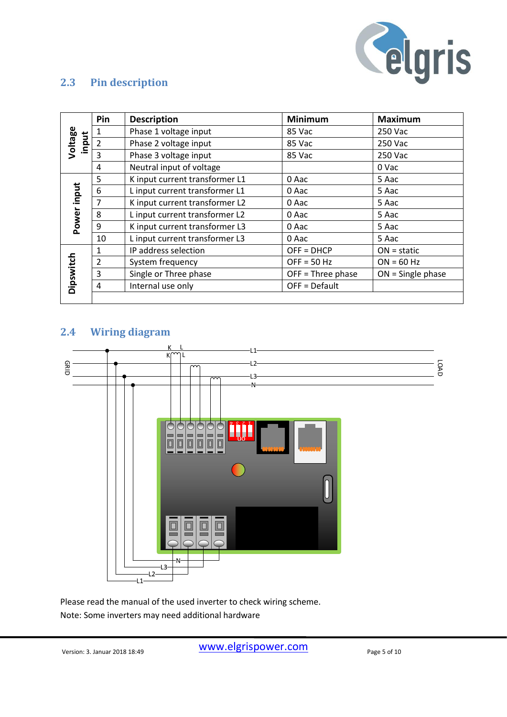

#### <span id="page-4-0"></span>**2.3 Pin description**

|                  | Pin            | <b>Description</b>             | <b>Minimum</b>      | <b>Maximum</b>      |
|------------------|----------------|--------------------------------|---------------------|---------------------|
|                  | 1              | Phase 1 voltage input          | 85 Vac              | 250 Vac             |
| Voltage<br>input | $\overline{2}$ | Phase 2 voltage input          | 85 Vac              | 250 Vac             |
|                  | 3              | Phase 3 voltage input          | 85 Vac              | 250 Vac             |
|                  | 4              | Neutral input of voltage       |                     | 0 Vac               |
|                  | 5              | K input current transformer L1 | 0 Aac               | 5 Aac               |
| Power input      | 6              | L input current transformer L1 | 0 Aac               | 5 Aac               |
|                  | 7              | K input current transformer L2 | 0 Aac               | 5 Aac               |
|                  | 8              | L input current transformer L2 | 0 Aac               | 5 Aac               |
|                  | 9              | K input current transformer L3 | 0 Aac               | 5 Aac               |
|                  | 10             | L input current transformer L3 | 0 Aac               | 5 Aac               |
|                  | 1              | IP address selection           | $OFF = DHCP$        | $ON = static$       |
|                  | 2              | System frequency               | $OFF = 50 Hz$       | $ON = 60 Hz$        |
|                  | 3              | Single or Three phase          | $OFF = Three phase$ | $ON =$ Single phase |
| Dipswitch        | 4              | Internal use only              | $OFF = Default$     |                     |
|                  |                |                                |                     |                     |

#### <span id="page-4-1"></span>**2.4 Wiring diagram**



Please read the manual of the used inverter to check wiring scheme. Note: Some inverters may need additional hardware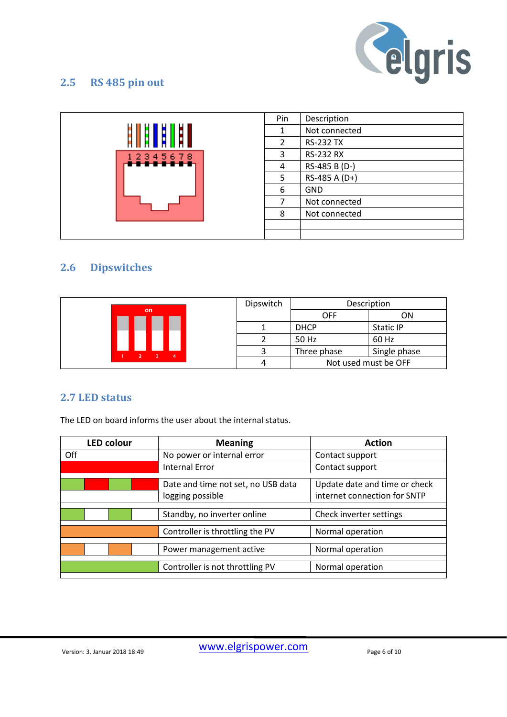

#### <span id="page-5-0"></span>**2.5 RS 485 pin out**

|          | Pin | Description      |
|----------|-----|------------------|
|          |     | Not connected    |
|          | 2   | <b>RS-232 TX</b> |
| 12345678 | 3   | <b>RS-232 RX</b> |
|          | 4   | RS-485 B (D-)    |
|          | 5   | RS-485 A (D+)    |
|          | 6   | <b>GND</b>       |
|          |     | Not connected    |
|          | 8   | Not connected    |
|          |     |                  |
|          |     |                  |

#### <span id="page-5-1"></span>**2.6 Dipswitches**

|  |           |  | Dipswitch |             | Description          |
|--|-----------|--|-----------|-------------|----------------------|
|  | <b>on</b> |  |           | <b>OFF</b>  | ΟN                   |
|  |           |  |           | <b>DHCP</b> | Static IP            |
|  |           |  |           | 50 Hz       | 60 Hz                |
|  |           |  |           | Three phase | Single phase         |
|  |           |  |           |             | Not used must be OFF |

#### **2.7 LED status**

The LED on board informs the user about the internal status.

| <b>LED colour</b> | <b>Meaning</b>                     | <b>Action</b>                 |
|-------------------|------------------------------------|-------------------------------|
| Off               | No power or internal error         | Contact support               |
|                   | <b>Internal Error</b>              | Contact support               |
|                   |                                    |                               |
|                   | Date and time not set, no USB data | Update date and time or check |
|                   | logging possible                   | internet connection for SNTP  |
|                   |                                    |                               |
|                   | Standby, no inverter online        | Check inverter settings       |
|                   |                                    |                               |
|                   | Controller is throttling the PV    | Normal operation              |
|                   |                                    |                               |
|                   | Power management active            | Normal operation              |
|                   |                                    |                               |
|                   | Controller is not throttling PV    | Normal operation              |
|                   |                                    |                               |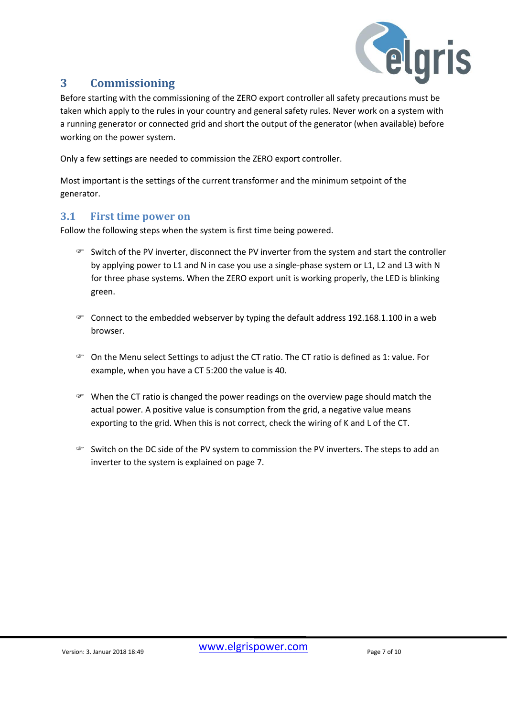

#### <span id="page-6-0"></span>**3 Commissioning**

Before starting with the commissioning of the ZERO export controller all safety precautions must be taken which apply to the rules in your country and general safety rules. Never work on a system with a running generator or connected grid and short the output of the generator (when available) before working on the power system.

Only a few settings are needed to commission the ZERO export controller.

Most important is the settings of the current transformer and the minimum setpoint of the generator.

#### <span id="page-6-1"></span>**3.1 First time power on**

Follow the following steps when the system is first time being powered.

- $\mathcal F$  Switch of the PV inverter, disconnect the PV inverter from the system and start the controller by applying power to L1 and N in case you use a single-phase system or L1, L2 and L3 with N for three phase systems. When the ZERO export unit is working properly, the LED is blinking green.
- Connect to the embedded webserver by typing the default address 192.168.1.100 in a web browser.
- On the Menu select Settings to adjust the CT ratio. The CT ratio is defined as 1: value. For example, when you have a CT 5:200 the value is 40.
- $\mathcal{F}$  When the CT ratio is changed the power readings on the overview page should match the actual power. A positive value is consumption from the grid, a negative value means exporting to the grid. When this is not correct, check the wiring of K and L of the CT.
- Switch on the DC side of the PV system to commission the PV inverters. The steps to add an inverter to the system is explained on page 7.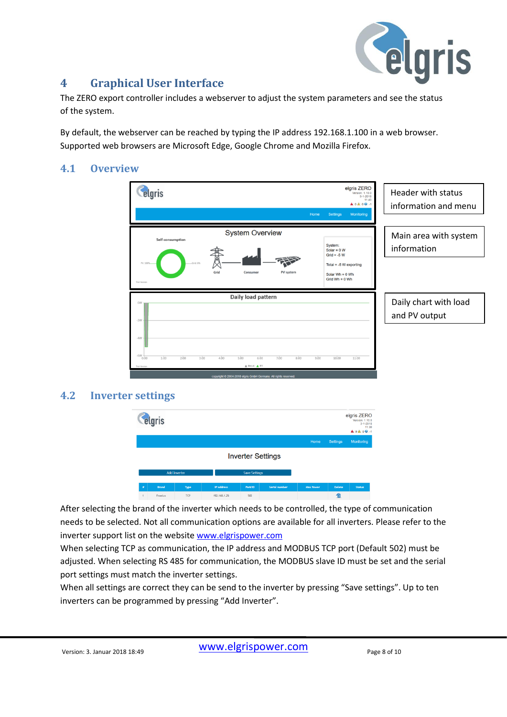

#### <span id="page-7-0"></span>**4 Graphical User Interface**

The ZERO export controller includes a webserver to adjust the system parameters and see the status of the system.

By default, the webserver can be reached by typing the IP address 192.168.1.100 in a web browser. Supported web browsers are Microsoft Edge, Google Chrome and Mozilla Firefox.

#### <span id="page-7-1"></span>**4.1 Overview**



#### <span id="page-7-2"></span>**4.2 Inverter settings**



After selecting the brand of the inverter which needs to be controlled, the type of communication needs to be selected. Not all communication options are available for all inverters. Please refer to the inverter support list on the website [www.elgrispower.com](http://www.elgrispower.com/)

When selecting TCP as communication, the IP address and MODBUS TCP port (Default 502) must be adjusted. When selecting RS 485 for communication, the MODBUS slave ID must be set and the serial port settings must match the inverter settings.

When all settings are correct they can be send to the inverter by pressing "Save settings". Up to ten inverters can be programmed by pressing "Add Inverter".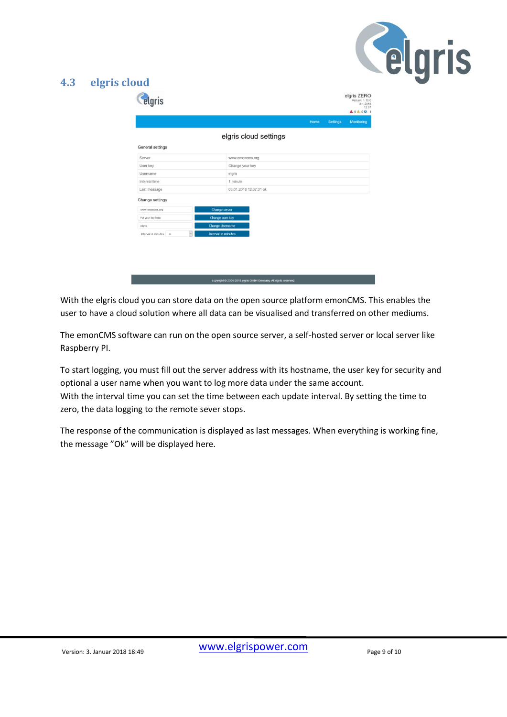

#### <span id="page-8-0"></span>**4.3 elgris cloud**

|                                     |                        | Home | <b>Settings</b> | Monitoring |
|-------------------------------------|------------------------|------|-----------------|------------|
|                                     |                        |      |                 |            |
|                                     | elgris cloud settings  |      |                 |            |
| General settings                    |                        |      |                 |            |
| Server                              | www.emoncms.org        |      |                 |            |
| User key                            | Change your key        |      |                 |            |
| Username                            | elgris                 |      |                 |            |
| Interval time                       | 1 minute               |      |                 |            |
| Last message                        | 03.01.2018 12:37:31 ok |      |                 |            |
| Change settings                     |                        |      |                 |            |
| www.emoncms.org                     | Change server          |      |                 |            |
| Put your key here                   | Change user key        |      |                 |            |
| elgris                              | <b>Change Username</b> |      |                 |            |
| $_{\rm v}$<br>Interval in minutes o | Interval in minutes    |      |                 |            |
|                                     |                        |      |                 |            |
|                                     |                        |      |                 |            |
|                                     |                        |      |                 |            |
|                                     |                        |      |                 |            |

With the elgris cloud you can store data on the open source platform emonCMS. This enables the user to have a cloud solution where all data can be visualised and transferred on other mediums.

The emonCMS software can run on the open source server, a self-hosted server or local server like Raspberry PI.

To start logging, you must fill out the server address with its hostname, the user key for security and optional a user name when you want to log more data under the same account. With the interval time you can set the time between each update interval. By setting the time to zero, the data logging to the remote sever stops.

The response of the communication is displayed as last messages. When everything is working fine, the message "Ok" will be displayed here.